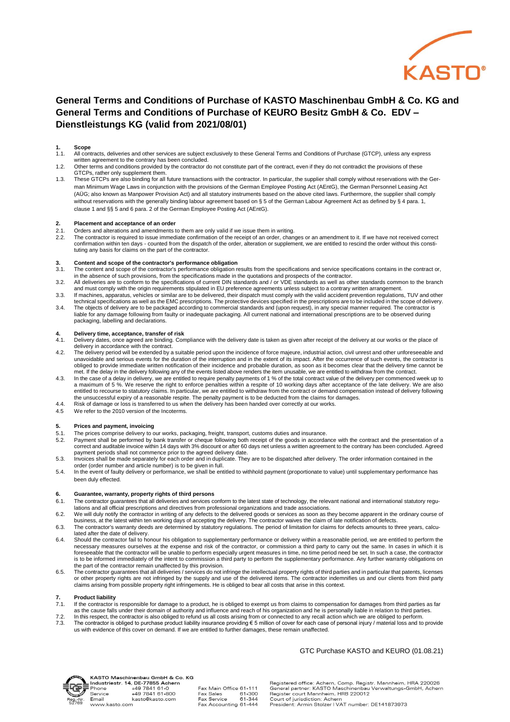

### **General Terms and Conditions of Purchase of KASTO Maschinenbau GmbH & Co. KG and General Terms and Conditions of Purchase of KEURO Besitz GmbH & Co. EDV – Dienstleistungs KG (valid from 2021/08/01)**

## **1. Scope**<br>**1.1.** All com

- 1.1. All contracts, deliveries and other services are subject exclusively to these General Terms and Conditions of Purchase (GTCP), unless any express
- written agreement to the contrary has been concluded.<br>1.2. Other terms and conditions provided by the contractor do not constitute part of the contract, even if they do not contradict the provisions of these GTCPs, rather only supplement them.
- 1.3. These GTCPs are also binding for all future transactions with the contractor. In particular, the supplier shall comply without reservations with the German Minimum Wage Laws in conjunction with the provisions of the German Employee Posting Act (AEntG), the German Personnel Leasing Act (AÜG; also known as Manpower Provision Act) and all statutory instruments based on the above cited laws. Furthermore, the supplier shall comply without reservations with the generally binding labour agreement based on § 5 of the German Labour Agreement Act as defined by § 4 para. 1, clause 1 and §§ 5 and 6 para. 2 of the German Employee Posting Act (AEntG).

#### **2. Placement and acceptance of an order**

- 2.1. Orders and alterations and amendments to them are only valid if we issue them in writing.<br>2.2. The contractor is required to issue immediate confirmation of the receipt of an order change
- 2.2. The contractor is required to issue immediate confirmation of the receipt of an order, changes or an amendment to it. If we have not received correct<br>-confirmation within ten days counted from the dispatch of the or tuting any basis for claims on the part of the contractor.

# **3. Content and scope of the contractor's performance obligation**

- 3.1. The content and scope of the contractor's performance obligation results from the specifications and service specifications contains in the contract or, in the absence of such provisions, from the specifications made in the quotations and prospects of the contractor.<br>3.2. All deliveries are to conform to the specifications of current DIN standards and / or VDE standards as
- and must comply with the origin requirements stipulated in EU preference agreements unless subject to a contrary written arrangement.
- 3.3. If machines, apparatus, vehicles or similar are to be delivered, their dispatch must comply with the valid accident prevention regulations, TUV and other<br>- technical specifications as well as the EMC prescriptions. Th
- 3.4. The objects of delivery are to be packaged according to commercial standards and (upon request), in any special manner required. The contractor is liable for any damage following from faulty or inadequate packaging. All current national and international prescriptions are to be observed during packaging, labelling and declarations.

### **4. Delivery time, acceptance, transfer of risk**

- 4.1. Delivery dates, once agreed are binding. Compliance with the delivery date is taken as given after receipt of the delivery at our works or the place of delivery in accordance with the contract.
- 4.2. The delivery period will be extended by a suitable period upon the incidence of force majeure, industrial action, civil unrest and other unforeseeable and unavoidable and serious events for the duration of the interruption and in the extent of its impact. After the occurrence of such events, the contractor is obliged to provide immediate written notification of their incidence and probable duration, as soon as it becomes clear that the delivery time cannot be
- met. If the delay in the delivery following any of the events listed above renders the item unusable, we are entitled to withdraw from the contract.<br>4.3. In the case of a delay in delivery, we are entitled to require penal entitled to recourse to statutory claims. In particular, we are entitled to withdraw from the contract or demand compensation instead of delivery following<br>the unsuccessful expiry of a reasonable respite. The penalty payme
- 4.4. Risk of damage or loss is transferred to us when the delivery has been handed over correctly at our works.
- 4.5 We refer to the 2010 version of the Incoterms.

### **5. Prices and payment, invoicing**

- 5.1. The prices comprise delivery to our works, packaging, freight, transport, customs duties and insurance.<br>5.2. Payment shall be performed by bank transfer or cheque following both receipt of the goods in accorda
- 5.2. Payment shall be performed by bank transfer or cheque following both receipt of the goods in accordance with the contract and the presentation of a<br>correct and auditable invoice within 14 days with 3% discount or afte payment periods shall not commence prior to the agreed delivery date.
- 5.3. Invoices shall be made separately for each order and in duplicate. They are to be dispatched after delivery. The order information contained in the order (order number and article number) is to be given in full.
- 5.4. In the event of faulty delivery or performance, we shall be entitled to withhold payment (proportionate to value) until supplementary performance has been duly effected.

### **6. Guarantee, warranty, property rights of third persons**

- 6.1. The contractor guarantees that all deliveries and services conform to the latest state of technology, the relevant national and international statutory regulations and all official prescriptions and directives from professional organizations and trade associations.
- 6.2. We will duly notify the contractor in writing of any defects to the delivered goods or services as soon as they become apparent in the ordinary course of business, at the latest within ten working days of accepting the delivery. The contractor waives the claim of late notification of defects.<br>6.3. The contractor's warranty deeds are determined by statutory regulations. The
- lated after the date of delivery.
- 6.4. Should the contractor fail to honour his obligation to supplementary performance or delivery within a reasonable period, we are entitled to perform the necessary measures ourselves at the expense and risk of the contractor, or commission a third party to carry out the same. In cases in which it is foreseeable that the contractor will be unable to perform especially urgent measures in time, no time period need be set. In such a case, the contractor is to be informed immediately of the intent to commission a third party to perform the supplementary performance. Any further warranty obligations on the part of the contractor remain unaffected by this provision.
- 6.5. The contractor guarantees that all deliveries / services do not infringe the intellectual property rights of third parties and in particular that patents, licenses or other property rights are not infringed by the supply and use of the delivered items. The contractor indemnifies us and our clients from third party<br>claims arising from possible property right infringements. He is oblig

# **7. Product liability**<br>**7.1.** If the contractor is

- 7.1. If the contractor is responsible for damage to a product, he is obliged to exempt us from claims to compensation for damages from third parties as far as the cause falls under their domain of authority and influence and reach of his organization and he is personally liable in relation to third parties.
- 
- 7.2. In this respect, the contractor is also obliged to refund us all costs arising from or connected to any recall action which we are obliged to perform.<br>7.3. The contractor is obliged to purchase product liability insu

### GTC Purchase KASTO and KEURO (01.08.21)



Email

www.kasto.com

KASTO Maschinenbau GmbH & Co. KG NASTO Maschinenbau GmbH & Content<br>Industriestr. 14, DE-77855 Achern<br>Phone +49 7841 61-0<br>Service +49 7841 61-800

| , DE-77000 Achern |                        |        |
|-------------------|------------------------|--------|
| +49 7841 61-0     | Fax Main Office 61-111 |        |
| +49 7841 61-800   | Fax Sales              | 61-300 |
| kasto@kasto.com   | <b>Fax Service</b>     | 61-344 |
| n                 | Fax Accounting 61-444  |        |
|                   |                        |        |

Registered office: Achern, Comp. Registr. Mannheim, HRA 220026<br>General partner: KASTO Maschinenbau Verwaltungs-GmbH, Achern<br>Register court Mannheim, HRB 220012 Court of jurisdiction: Achern

President: Armin Stolzer | VAT number: DE141873973